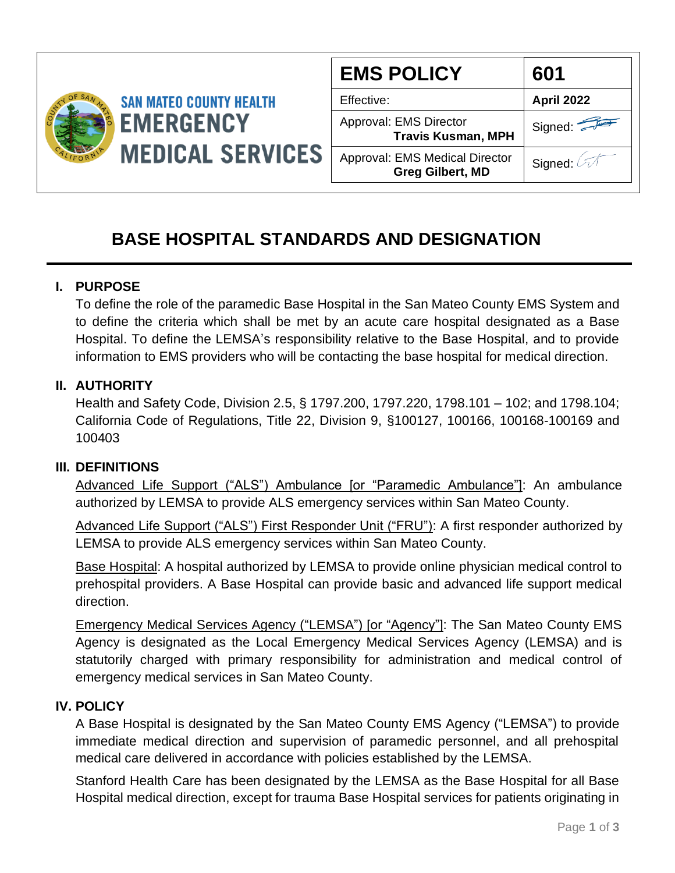

| <b>EMS POLICY</b>                                                | 601               |
|------------------------------------------------------------------|-------------------|
| Effective:                                                       | <b>April 2022</b> |
| Approval: EMS Director<br><b>Travis Kusman, MPH</b>              | Signed:           |
| <b>Approval: EMS Medical Director</b><br><b>Greg Gilbert, MD</b> | Signed:           |

# **BASE HOSPITAL STANDARDS AND DESIGNATION**

## **I. PURPOSE**

To define the role of the paramedic Base Hospital in the San Mateo County EMS System and to define the criteria which shall be met by an acute care hospital designated as a Base Hospital. To define the LEMSA's responsibility relative to the Base Hospital, and to provide information to EMS providers who will be contacting the base hospital for medical direction.

#### **II. AUTHORITY**

Health and Safety Code, Division 2.5, § 1797.200, 1797.220, 1798.101 – 102; and 1798.104; California Code of Regulations, Title 22, Division 9, §100127, 100166, 100168-100169 and 100403

#### **III. DEFINITIONS**

Advanced Life Support ("ALS") Ambulance [or "Paramedic Ambulance"]: An ambulance authorized by LEMSA to provide ALS emergency services within San Mateo County.

Advanced Life Support ("ALS") First Responder Unit ("FRU"): A first responder authorized by LEMSA to provide ALS emergency services within San Mateo County.

Base Hospital: A hospital authorized by LEMSA to provide online physician medical control to prehospital providers. A Base Hospital can provide basic and advanced life support medical direction.

Emergency Medical Services Agency ("LEMSA") [or "Agency"]: The San Mateo County EMS Agency is designated as the Local Emergency Medical Services Agency (LEMSA) and is statutorily charged with primary responsibility for administration and medical control of emergency medical services in San Mateo County.

#### **IV. POLICY**

A Base Hospital is designated by the San Mateo County EMS Agency ("LEMSA") to provide immediate medical direction and supervision of paramedic personnel, and all prehospital medical care delivered in accordance with policies established by the LEMSA.

Stanford Health Care has been designated by the LEMSA as the Base Hospital for all Base Hospital medical direction, except for trauma Base Hospital services for patients originating in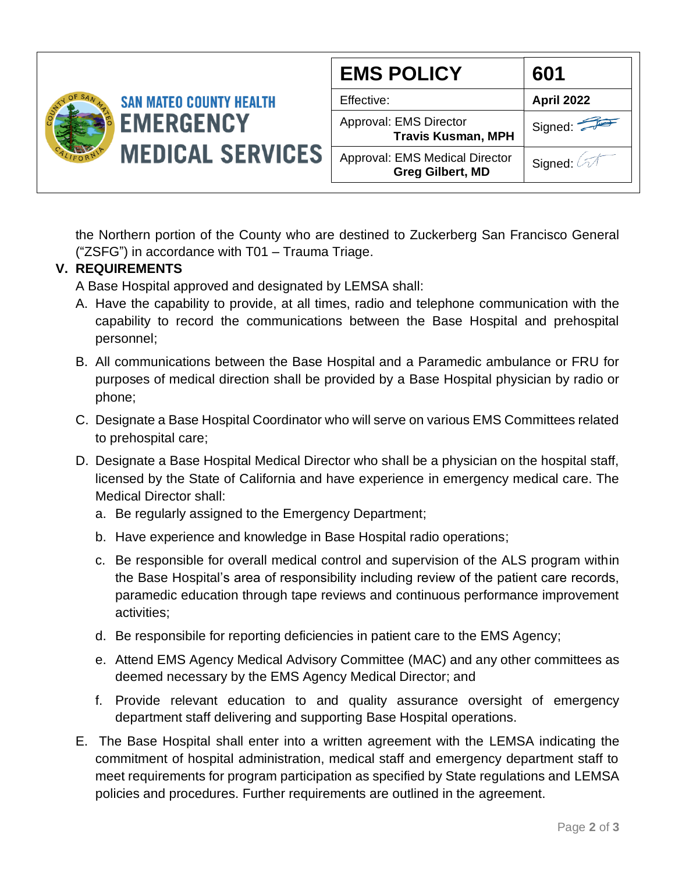|                                                                               | <b>EMS POLICY</b>                                         | 601               |
|-------------------------------------------------------------------------------|-----------------------------------------------------------|-------------------|
| <b>SAN MATEO COUNTY HEALTH</b><br><b>EMERGENCY</b><br><b>MEDICAL SERVICES</b> | Effective:                                                | <b>April 2022</b> |
|                                                                               | Approval: EMS Director<br><b>Travis Kusman, MPH</b>       | Signed: $\approx$ |
|                                                                               | Approval: EMS Medical Director<br><b>Greg Gilbert, MD</b> | Signed:           |

the Northern portion of the County who are destined to Zuckerberg San Francisco General ("ZSFG") in accordance with T01 – Trauma Triage.

### **V. REQUIREMENTS**

A Base Hospital approved and designated by LEMSA shall:

- A. Have the capability to provide, at all times, radio and telephone communication with the capability to record the communications between the Base Hospital and prehospital personnel;
- B. All communications between the Base Hospital and a Paramedic ambulance or FRU for purposes of medical direction shall be provided by a Base Hospital physician by radio or phone;
- C. Designate a Base Hospital Coordinator who will serve on various EMS Committees related to prehospital care;
- D. Designate a Base Hospital Medical Director who shall be a physician on the hospital staff, licensed by the State of California and have experience in emergency medical care. The Medical Director shall:
	- a. Be regularly assigned to the Emergency Department;
	- b. Have experience and knowledge in Base Hospital radio operations;
	- c. Be responsible for overall medical control and supervision of the ALS program within the Base Hospital's area of responsibility including review of the patient care records, paramedic education through tape reviews and continuous performance improvement activities;
	- d. Be responsibile for reporting deficiencies in patient care to the EMS Agency;
	- e. Attend EMS Agency Medical Advisory Committee (MAC) and any other committees as deemed necessary by the EMS Agency Medical Director; and
	- f. Provide relevant education to and quality assurance oversight of emergency department staff delivering and supporting Base Hospital operations.
- E. The Base Hospital shall enter into a written agreement with the LEMSA indicating the commitment of hospital administration, medical staff and emergency department staff to meet requirements for program participation as specified by State regulations and LEMSA policies and procedures. Further requirements are outlined in the agreement.